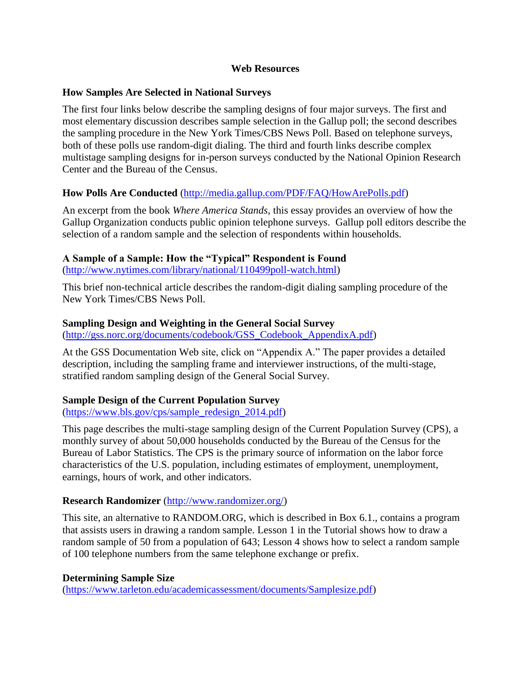#### **Web Resources**

#### **How Samples Are Selected in National Surveys**

The first four links below describe the sampling designs of four major surveys. The first and most elementary discussion describes sample selection in the Gallup poll; the second describes the sampling procedure in the New York Times/CBS News Poll. Based on telephone surveys, both of these polls use random-digit dialing. The third and fourth links describe complex multistage sampling designs for in-person surveys conducted by the National Opinion Research Center and the Bureau of the Census.

### **How Polls Are Conducted** [\(http://media.gallup.com/PDF/FAQ/HowArePolls.pdf\)](http://media.gallup.com/PDF/FAQ/HowArePolls.pdf)

An excerpt from the book *Where America Stands*, this essay provides an overview of how the Gallup Organization conducts public opinion telephone surveys. Gallup poll editors describe the selection of a random sample and the selection of respondents within households.

### **A Sample of a Sample: How the "Typical" Respondent is Found**

[\(http://www.nytimes.com/library/national/110499poll-watch.html\)](http://www.nytimes.com/library/national/110499poll-watch.html)

This brief non-technical article describes the random-digit dialing sampling procedure of the New York Times/CBS News Poll.

#### **Sampling Design and Weighting in the General Social Survey**

[\(http://gss.norc.org/documents/codebook/GSS\\_Codebook\\_AppendixA.pdf\)](http://gss.norc.org/documents/codebook/GSS_Codebook_AppendixA.pdf)

At the GSS Documentation Web site, click on "Appendix A." The paper provides a detailed description, including the sampling frame and interviewer instructions, of the multi-stage, stratified random sampling design of the General Social Survey.

### **Sample Design of the Current Population Survey**

[\(https://www.bls.gov/cps/sample\\_redesign\\_2014.pdf\)](https://www.bls.gov/cps/sample_redesign_2014.pdf)

This page describes the multi-stage sampling design of the Current Population Survey (CPS), a monthly survey of about 50,000 households conducted by the Bureau of the Census for the Bureau of Labor Statistics. The CPS is the primary source of information on the labor force characteristics of the U.S. population, including estimates of employment, unemployment, earnings, hours of work, and other indicators.

### **Research Randomizer** [\(http://www.randomizer.org/\)](http://www.randomizer.org/)

This site, an alternative to RANDOM.ORG, which is described in Box 6.1., contains a program that assists users in drawing a random sample. Lesson 1 in the Tutorial shows how to draw a random sample of 50 from a population of 643; Lesson 4 shows how to select a random sample of 100 telephone numbers from the same telephone exchange or prefix.

### **Determining Sample Size**

[\(https://www.tarleton.edu/academicassessment/documents/Samplesize.pdf\)](https://www.tarleton.edu/academicassessment/documents/Samplesize.pdf)